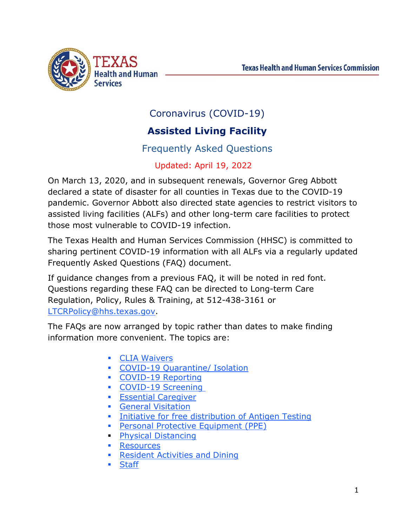

# Coronavirus (COVID-19)

# **Assisted Living Facility**

# Frequently Asked Questions

# Updated: April 19, 2022

On March 13, 2020, and in subsequent renewals, Governor Greg Abbott declared a state of disaster for all counties in Texas due to the COVID-19 pandemic. Governor Abbott also directed state agencies to restrict visitors to assisted living facilities (ALFs) and other long-term care facilities to protect those most vulnerable to COVID-19 infection.

The Texas Health and Human Services Commission (HHSC) is committed to sharing pertinent COVID-19 information with all ALFs via a regularly updated Frequently Asked Questions (FAQ) document.

If guidance changes from a previous FAQ, it will be noted in red font. Questions regarding these FAQ can be directed to Long-term Care Regulation, Policy, Rules & Training, at 512-438-3161 or [LTCRPolicy@hhs.texas.gov.](mailto:LTCRPolicy@hhs.texas.gov)

The FAQs are now arranged by topic rather than dates to make finding information more convenient. The topics are:

- **CLIA [Waivers](#page-17-0)**
- [COVID-19 Quarantine/](#page-2-0) Isolation
- **COVID-19 Reporting**
- COVID-19 Screening
- **Essential [Caregiver](#page-11-0)**
- **General [Visitation](#page-13-0)**
- [Initiative for free distribution of Antigen Testing](#page-16-0)
- **[Personal Protective Equipment](#page-8-0) (PPE)**
- **[Physical Distancing](#page-13-1)**
- **[Resources](#page-33-0)**
- **[Resident Activities and](#page-14-0) Dining**
- **[Staff](#page-19-0)**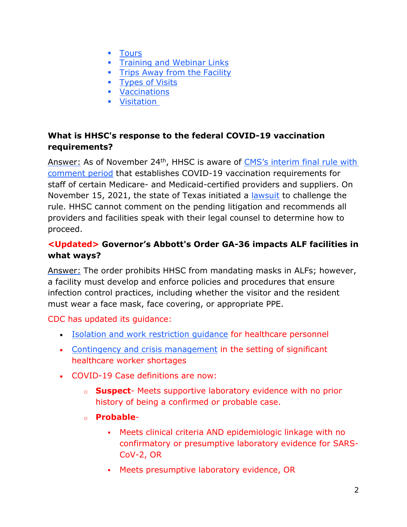- **•** [Tours](#page-1-0)
- **Fig.** [Training and Webinar](#page-35-0) Links
- **[Trips Away from the](#page-24-0) Facility**
- **[Types of](#page-10-0) Visits**
- **•** [Vaccinations](#page-25-0)
- **•** [Visitation](#page-25-0)

# <span id="page-1-0"></span>**What is HHSC's response to the federal COVID-19 vaccination requirements?**

Answer: As of November 24<sup>th</sup>, HHSC is aware of CMS's interim final rule with [comment period](https://www.federalregister.gov/documents/2021/11/05/2021-23831/medicare-and-medicaid-programs-omnibus-covid-19-health-care-staff-vaccination) that establishes COVID-19 vaccination requirements for staff of certain Medicare- and Medicaid-certified providers and suppliers. On November 15, 2021, the state of Texas initiated a [lawsuit](https://www.texasattorneygeneral.gov/news/releases/paxton-files-lawsuit-against-biden-administrations-vaccine-mandate-healthcare-workers) to challenge the rule. HHSC cannot comment on the pending litigation and recommends all providers and facilities speak with their legal counsel to determine how to proceed.

# **<Updated> Governor's Abbott's Order GA-36 impacts ALF facilities in what ways?**

Answer: The order prohibits HHSC from mandating masks in ALFs; however, a facility must develop and enforce policies and procedures that ensure infection control practices, including whether the visitor and the resident must wear a face mask, face covering, or appropriate PPE.

### CDC has updated its guidance:

- [Isolation and work restriction guidance](https://www.cdc.gov/coronavirus/2019-ncov/hcp/guidance-risk-assesment-hcp.html) for healthcare personnel
- [Contingency and crisis management](https://www.cdc.gov/coronavirus/2019-ncov/hcp/mitigating-staff-shortages.html) in the setting of significant healthcare worker shortages
- COVID-19 Case definitions are now:
	- o **Suspect** Meets supportive laboratory evidence with no prior history of being a confirmed or probable case.
	- o **Probable**
		- Meets clinical criteria AND epidemiologic linkage with no confirmatory or presumptive laboratory evidence for SARS-CoV-2, OR
		- Meets presumptive laboratory evidence, OR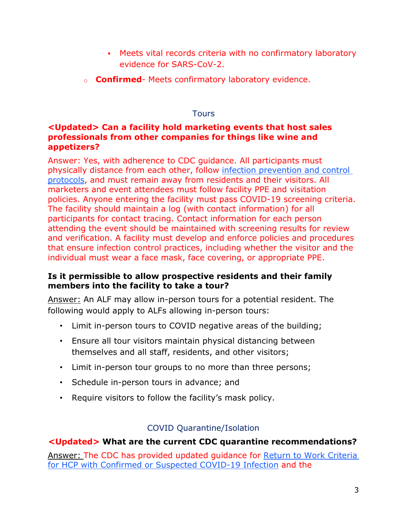- Meets vital records criteria with no confirmatory laboratory evidence for SARS-CoV-2.
- o **Confirmed** Meets confirmatory laboratory evidence.

#### **Tours**

### **<Updated> Can a facility hold marketing events that host sales professionals from other companies for things like wine and appetizers?**

Answer: Yes, with adherence to CDC guidance. All participants must physically distance from each other, follow [infection prevention and control](https://www.cdc.gov/coronavirus/2019-ncov/hcp/long-term-care.html)  [protocols,](https://www.cdc.gov/coronavirus/2019-ncov/hcp/long-term-care.html) and must remain away from residents and their visitors. All marketers and event attendees must follow facility PPE and visitation policies. Anyone entering the facility must pass COVID-19 screening criteria. The facility should maintain a log (with contact information) for all participants for contact tracing. Contact information for each person attending the event should be maintained with screening results for review and verification. A facility must develop and enforce policies and procedures that ensure infection control practices, including whether the visitor and the individual must wear a face mask, face covering, or appropriate PPE.

#### **Is it permissible to allow prospective residents and their family members into the facility to take a tour?**

Answer: An ALF may allow in-person tours for a potential resident. The following would apply to ALFs allowing in-person tours:

- Limit in-person tours to COVID negative areas of the building;
- Ensure all tour visitors maintain physical distancing between themselves and all staff, residents, and other visitors;
- Limit in-person tour groups to no more than three persons;
- Schedule in-person tours in advance; and
- Require visitors to follow the facility's mask policy.

### COVID Quarantine/Isolation

### <span id="page-2-0"></span>**<Updated> What are the current CDC quarantine recommendations?**

Answer: The CDC has provided updated guidance for [Return to Work Criteria](https://www.cdc.gov/coronavirus/2019-ncov/hcp/guidance-risk-assesment-hcp.html?CDC_AA_refVal=https%3A%2F%2Fwww.cdc.gov%2Fcoronavirus%2F2019-ncov%2Fhcp%2Freturn-to-work.html)  [for HCP with Confirmed or Suspected COVID-19 Infection](https://www.cdc.gov/coronavirus/2019-ncov/hcp/guidance-risk-assesment-hcp.html?CDC_AA_refVal=https%3A%2F%2Fwww.cdc.gov%2Fcoronavirus%2F2019-ncov%2Fhcp%2Freturn-to-work.html) and the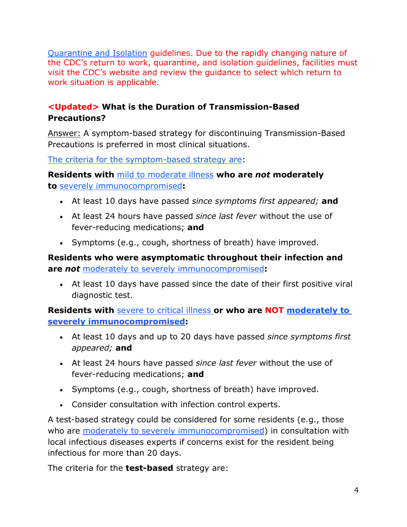[Quarantine and Isolation](https://www.cdc.gov/coronavirus/2019-ncov/your-health/quarantine-isolation.html) guidelines. Due to the rapidly changing nature of the CDC's return to work, quarantine, and isolation guidelines, facilities must visit the CDC's website and review the guidance to select which return to work situation is applicable.

# **<Updated> What is the Duration of Transmission-Based Precautions?**

Answer: A symptom-based strategy for discontinuing Transmission-Based Precautions is preferred in most clinical situations.

[The criteria for the symptom-based strategy are:](https://www.cdc.gov/coronavirus/2019-ncov/hcp/infection-control-recommendations.html)

**Residents with** [mild to moderate](https://www.cdc.gov/coronavirus/2019-ncov/hcp/infection-control-recommendations.html?CDC_AA_refVal=https%3A%2F%2Fwww.cdc.gov%2Fcoronavirus%2F2019-ncov%2Fhcp%2Finfection-control-after-vaccination.html#illnessseverity) illness **who are** *not* **moderately to** [severely immunocompromised](https://www.cdc.gov/coronavirus/2019-ncov/hcp/infection-control-recommendations.html?CDC_AA_refVal=https%3A%2F%2Fwww.cdc.gov%2Fcoronavirus%2F2019-ncov%2Fhcp%2Finfection-control-after-vaccination.html#immunocompromised)**:**

- At least 10 days have passed *since symptoms first appeared;* **and**
- At least 24 hours have passed *since last fever* without the use of fever-reducing medications; **and**
- Symptoms (e.g., cough, shortness of breath) have improved.

**Residents who were asymptomatic throughout their infection and are** *not* [moderately to severely immunocompromised](https://www.cdc.gov/coronavirus/2019-ncov/hcp/infection-control-recommendations.html?CDC_AA_refVal=https%3A%2F%2Fwww.cdc.gov%2Fcoronavirus%2F2019-ncov%2Fhcp%2Finfection-control-after-vaccination.html#immunocompromised)**:**

• At least 10 days have passed since the date of their first positive viral diagnostic test.

**Residents with** [severe to critical illness](https://www.cdc.gov/coronavirus/2019-ncov/hcp/infection-control-recommendations.html?CDC_AA_refVal=https%3A%2F%2Fwww.cdc.gov%2Fcoronavirus%2F2019-ncov%2Fhcp%2Finfection-control-after-vaccination.html#illnessseverity) **or who are NOT [moderately to](https://www.cdc.gov/coronavirus/2019-ncov/hcp/infection-control-recommendations.html?CDC_AA_refVal=https%3A%2F%2Fwww.cdc.gov%2Fcoronavirus%2F2019-ncov%2Fhcp%2Finfection-control-after-vaccination.html#immunocompromised)  [severely immunocompromised:](https://www.cdc.gov/coronavirus/2019-ncov/hcp/infection-control-recommendations.html?CDC_AA_refVal=https%3A%2F%2Fwww.cdc.gov%2Fcoronavirus%2F2019-ncov%2Fhcp%2Finfection-control-after-vaccination.html#immunocompromised)**

- At least 10 days and up to 20 days have passed *since symptoms first appeared;* **and**
- At least 24 hours have passed *since last fever* without the use of fever-reducing medications; **and**
- Symptoms (e.g., cough, shortness of breath) have improved.
- Consider consultation with infection control experts.

A test-based strategy could be considered for some residents (e.g., those who are [moderately to severely immunocompromised\)](https://www.cdc.gov/coronavirus/2019-ncov/hcp/infection-control-recommendations.html?CDC_AA_refVal=https%3A%2F%2Fwww.cdc.gov%2Fcoronavirus%2F2019-ncov%2Fhcp%2Finfection-control-after-vaccination.html#immunocompromised) in consultation with local infectious diseases experts if concerns exist for the resident being infectious for more than 20 days.

The criteria for the **test-based** strategy are: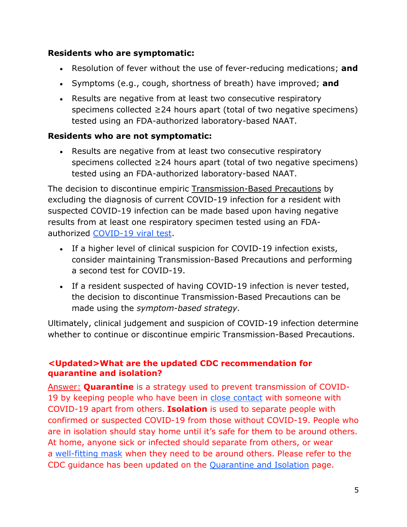## **Residents who are symptomatic:**

- Resolution of fever without the use of fever-reducing medications; **and**
- Symptoms (e.g., cough, shortness of breath) have improved; **and**
- Results are negative from at least two consecutive respiratory specimens collected ≥24 hours apart (total of two negative specimens) tested using an FDA-authorized laboratory-based NAAT.

# **Residents who are not symptomatic:**

• Results are negative from at least two consecutive respiratory specimens collected ≥24 hours apart (total of two negative specimens) tested using an FDA-authorized laboratory-based NAAT.

The decision to discontinue empiric [Transmission-Based Precautions](https://www.cdc.gov/coronavirus/2019-ncov/hcp/infection-control-recommendations.html) by excluding the diagnosis of current COVID-19 infection for a resident with suspected COVID-19 infection can be made based upon having negative results from at least one respiratory specimen tested using an FDAauthorized [COVID-19 viral test.](https://www.cdc.gov/coronavirus/2019-ncov/hcp/testing-overview.html)

- If a higher level of clinical suspicion for COVID-19 infection exists, consider maintaining Transmission-Based Precautions and performing a second test for COVID-19.
- If a resident suspected of having COVID-19 infection is never tested, the decision to discontinue Transmission-Based Precautions can be made using the *symptom-based strategy.*

Ultimately, clinical judgement and suspicion of COVID-19 infection determine whether to continue or discontinue empiric Transmission-Based Precautions.

# **<Updated>What are the updated CDC recommendation for quarantine and isolation?**

Answer: **Quarantine** is a strategy used to prevent transmission of COVID19 by keeping people who have been in [close contact](https://www.cdc.gov/coronavirus/2019-ncov/php/contact-tracing/contact-tracing-plan/appendix.html#contact) with someone with COVID-19 apart from others. **Isolation** is used to separate people with confirmed or suspected COVID-19 from those without COVID-19. People who are in isolation should stay home until it's safe for them to be around others. At home, anyone sick or infected should separate from others, or wear a [well-fitting mask](https://www.cdc.gov/coronavirus/2019-ncov/your-health/effective-masks.html) when they need to be around others. Please refer to the CDC guidance has been updated on the [Quarantine and Isolation](https://www.cdc.gov/coronavirus/2019-ncov/your-health/quarantine-isolation.html) page.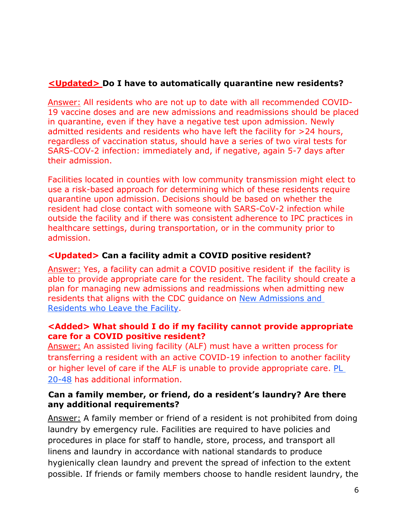# **<Updated> Do I have to automatically quarantine new residents?**

Answer: All residents who are not up to date with all recommended COVID-19 vaccine doses and are new admissions and readmissions should be placed in quarantine, even if they have a negative test upon admission. Newly admitted residents and residents who have left the facility for >24 hours, regardless of vaccination status, should have a series of two viral tests for SARS-COV-2 infection: immediately and, if negative, again 5-7 days after their admission.

Facilities located in counties with low community transmission might elect to use a risk-based approach for determining which of these residents require quarantine upon admission. Decisions should be based on whether the resident had close contact with someone with SARS-CoV-2 infection while outside the facility and if there was consistent adherence to IPC practices in healthcare settings, during transportation, or in the community prior to admission.

### **<Updated> Can a facility admit a COVID positive resident?**

Answer: Yes, a facility can admit a COVID positive resident if the facility is able to provide appropriate care for the resident. The facility should create a plan for managing new admissions and readmissions when admitting new residents that aligns with the CDC guidance on [New Admissions and](https://www.cdc.gov/coronavirus/2019-ncov/hcp/long-term-care.html#anchor_1631031505598)  [Residents who Leave the Facility.](https://www.cdc.gov/coronavirus/2019-ncov/hcp/long-term-care.html#anchor_1631031505598)

### **<Added> What should I do if my facility cannot provide appropriate care for a COVID positive resident?**

Answer: An assisted living facility (ALF) must have a written process for transferring a resident with an active COVID-19 infection to another facility or higher level of care if the ALF is unable to provide appropriate care. [PL](https://www.hhs.texas.gov/sites/default/files/documents/providers/communications/2020/letters/PL2020-48.pdf)  [20-48](https://www.hhs.texas.gov/sites/default/files/documents/providers/communications/2020/letters/PL2020-48.pdf) has additional information.

#### **Can a family member, or friend, do a resident's laundry? Are there any additional requirements?**

Answer: A family member or friend of a resident is not prohibited from doing laundry by emergency rule. Facilities are required to have policies and procedures in place for staff to handle, store, process, and transport all linens and laundry in accordance with national standards to produce hygienically clean laundry and prevent the spread of infection to the extent possible. If friends or family members choose to handle resident laundry, the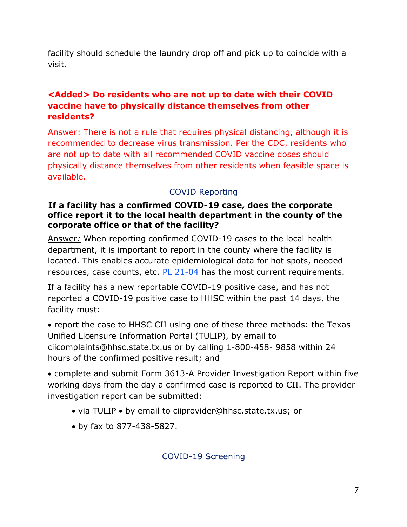facility should schedule the laundry drop off and pick up to coincide with a visit.

# **<Added> Do residents who are not up to date with their COVID vaccine have to physically distance themselves from other residents?**

Answer: There is not a rule that requires physical distancing, although it is recommended to decrease virus transmission. Per the CDC, residents who are not up to date with all recommended COVID vaccine doses should physically distance themselves from other residents when feasible space is available.

# COVID Reporting

#### **If a facility has a confirmed COVID-19 case, does the corporate office report it to the local health department in the county of the corporate office or that of the facility?**

Answer*:* When reporting confirmed COVID-19 cases to the local health department, it is important to report in the county where the facility is located. This enables accurate epidemiological data for hot spots, needed resources, case counts, etc. [PL 21-04](https://apps.hhs.texas.gov/providers/communications/2021/letters/PL2021-04.pdf) has the most current requirements.

If a facility has a new reportable COVID-19 positive case, and has not reported a COVID-19 positive case to HHSC within the past 14 days, the facility must:

• report the case to HHSC CII using one of these three methods: the Texas Unified Licensure Information Portal (TULIP), by email to ciicomplaints@hhsc.state.tx.us or by calling 1-800-458- 9858 within 24 hours of the confirmed positive result; and

• complete and submit Form 3613-A Provider Investigation Report within five working days from the day a confirmed case is reported to CII. The provider investigation report can be submitted:

- via TULIP by email to ciiprovider@hhsc.state.tx.us; or
- <span id="page-6-0"></span>• by fax to 877-438-5827.

COVID-19 Screening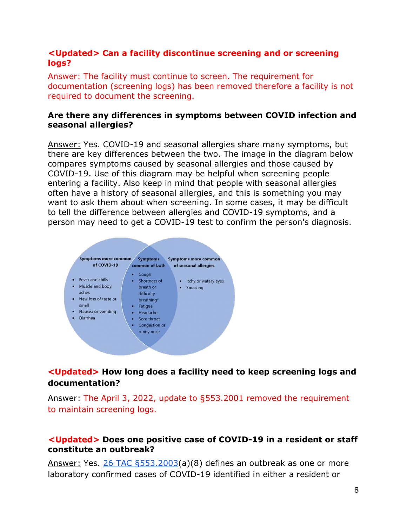### **<Updated> Can a facility discontinue screening and or screening logs?**

Answer: The facility must continue to screen. The requirement for documentation (screening logs) has been removed therefore a facility is not required to document the screening.

#### **Are there any differences in symptoms between COVID infection and seasonal allergies?**

Answer: Yes. COVID-19 and seasonal allergies share many symptoms, but there are key differences between the two. The image in the diagram below compares symptoms caused by seasonal allergies and those caused by COVID-19. Use of this diagram may be helpful when screening people entering a facility. Also keep in mind that people with seasonal allergies often have a history of seasonal allergies, and this is something you may want to ask them about when screening. In some cases, it may be difficult to tell the difference between allergies and COVID-19 symptoms, and a person may need to get a COVID-19 test to confirm the person's diagnosis.



# **<Updated> How long does a facility need to keep screening logs and documentation?**

Answer: The April 3, 2022, update to §553.2001 removed the requirement to maintain screening logs.

#### **<Updated> Does one positive case of COVID-19 in a resident or staff constitute an outbreak?**

Answer: Yes. [26 TAC §553.2003\(](https://www.hhs.texas.gov/sites/default/files/documents/doing-business-with-hhs/providers/long-term-care/alf/alf-covid-19-expanision-reopening-visitation-emergency-rule.pdf)a)(8) defines an outbreak as one or more laboratory confirmed cases of COVID-19 identified in either a resident or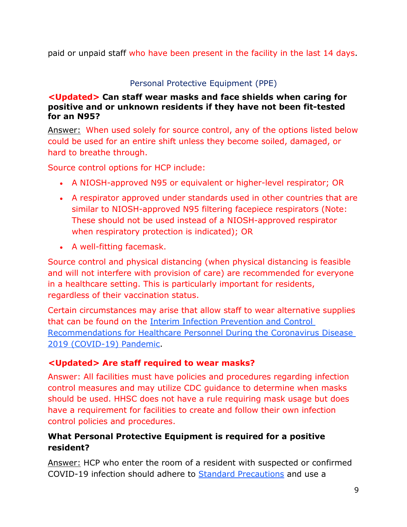paid or unpaid staff who have been present in the facility in the last 14 days.

# Personal Protective Equipment (PPE)

### <span id="page-8-0"></span>**<Updated> Can staff wear masks and face shields when caring for positive and or unknown residents if they have not been fit-tested for an N95?**

Answer: When used solely for source control, any of the options listed below could be used for an entire shift unless they become soiled, damaged, or hard to breathe through.

Source control options for HCP include:

- A NIOSH-approved N95 or equivalent or higher-level respirator; OR
- A respirator approved under standards used in other countries that are similar to NIOSH-approved N95 filtering facepiece respirators (Note: These should not be used instead of a NIOSH-approved respirator when respiratory protection is indicated); OR
- A well-fitting facemask.

Source control and physical distancing (when physical distancing is feasible and will not interfere with provision of care) are recommended for everyone in a healthcare setting. This is particularly important for residents, regardless of their vaccination status.

Certain circumstances may arise that allow staff to wear alternative supplies that can be found on the [Interim Infection Prevention and Control](https://www.cdc.gov/coronavirus/2019-ncov/hcp/infection-control-recommendations.html)  [Recommendations for Healthcare Personnel During the Coronavirus Disease](https://www.cdc.gov/coronavirus/2019-ncov/hcp/infection-control-recommendations.html)  [2019 \(COVID-19\) Pandemic.](https://www.cdc.gov/coronavirus/2019-ncov/hcp/infection-control-recommendations.html)

# **<Updated> Are staff required to wear masks?**

Answer: All facilities must have policies and procedures regarding infection control measures and may utilize CDC guidance to determine when masks should be used. HHSC does not have a rule requiring mask usage but does have a requirement for facilities to create and follow their own infection control policies and procedures.

# **What Personal Protective Equipment is required for a positive resident?**

Answer: HCP who enter the room of a resident with suspected or confirmed COVID-19 infection should adhere to [Standard Precautions](https://www.cdc.gov/hicpac/recommendations/core-practices.html) and use a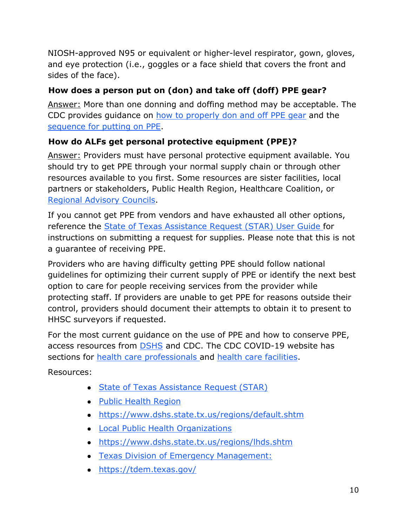NIOSH-approved N95 or equivalent or higher-level respirator, gown, gloves, and eye protection (i.e., goggles or a face shield that covers the front and sides of the face).

# **How does a person put on (don) and take off (doff) PPE gear?**

Answer: More than one donning and doffing method may be acceptable. The CDC provides guidance on [how to properly don and off PPE gear](https://www.cdc.gov/coronavirus/2019-ncov/downloads/A_FS_HCP_COVID19_PPE.pdf) and the [sequence for putting on PPE.](https://www.cdc.gov/hai/pdfs/ppe/PPE-Sequence.pdf)

# **How do ALFs get personal protective equipment (PPE)?**

Answer: Providers must have personal protective equipment available. You should try to get PPE through your normal supply chain or through other resources available to you first. Some resources are sister facilities, local partners or stakeholders, Public Health Region, Healthcare Coalition, or [Regional Advisory Councils.](https://dshs.texas.gov/emstraumasystems/etrarac.shtm)

If you cannot get PPE from vendors and have exhausted all other options, reference the [State of Texas Assistance Request \(STAR\) User Guide f](https://olympus.soc.texas.gov/files/docs/StarGuides/2020_STAR_SOC_Quick_Reference_Guide.pdf)or instructions on submitting a request for supplies. Please note that this is not a guarantee of receiving PPE.

Providers who are having difficulty getting PPE should follow national guidelines for optimizing their current supply of PPE or identify the next best option to care for people receiving services from the provider while protecting staff. If providers are unable to get PPE for reasons outside their control, providers should document their attempts to obtain it to present to HHSC surveyors if requested.

For the most current guidance on the use of PPE and how to conserve PPE, access resources from [DSHS](https://dshs.texas.gov/coronavirus/healthprof.aspx) and CDC. The CDC COVID-19 website has sections for [health care professionals a](https://www.cdc.gov/coronavirus/2019-nCoV/hcp/index.html)nd [health care facilities.](https://www.cdc.gov/coronavirus/2019-ncov/healthcare-facilities/index.html)

Resources:

- [State of Texas Assistance Request](https://www.dshs.texas.gov/coronavirus/docs/DSHS-TDEM-COVID19PPESTAROverview.pdf) (STAR)
- [Public Health](https://www.dshs.texas.gov/regions/default.shtm) Region
- <https://www.dshs.state.tx.us/regions/default.shtm>
- [Local Public Health](https://dshs.texas.gov/regions/lhds.shtm) Organizations
- <https://www.dshs.state.tx.us/regions/lhds.shtm>
- [Texas Division of Emergency](https://tdem.texas.gov/) Management:
- <https://tdem.texas.gov/>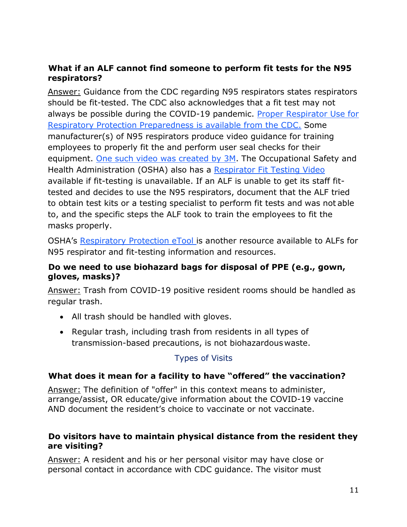# **What if an ALF cannot find someone to perform fit tests for the N95 respirators?**

Answer: Guidance from the CDC regarding N95 respirators states respirators should be fit-tested. The CDC also acknowledges that a fit test may not always be possible during the COVID-19 pandemic. [Proper Respirator Use](https://blogs.cdc.gov/niosh-science-blog/2020/03/16/n95-preparedness/) [for](https://blogs.cdc.gov/niosh-science-blog/2020/03/16/n95-preparedness/)  [Respiratory Protection Preparedness i](https://blogs.cdc.gov/niosh-science-blog/2020/03/16/n95-preparedness/)s available from the CDC. Some manufacturer(s) of N95 respirators produce video guidance for training employees to properly fit the and perform user seal checks for their equipment. [One such video was created by 3M.](https://www.youtube.com/results?search_query=3m%2Bn95%2Brespirator%2Bfit%2Btesting%2Bvideo&sp=EgIIBA%253D%253D) The Occupational Safety and Health Administration (OSHA) also has a [Respirator Fit Testing Video](https://www.youtube.com/watch?v=D38BjgUdL5U&feature=youtu.be) available if fit-testing is unavailable. If an ALF is unable to get its staff fittested and decides to use the N95 respirators, document that the ALF tried to obtain test kits or a testing specialist to perform fit tests and was not able to, and the specific steps the ALF took to train the employees to fit the masks properly.

OSHA's [Respiratory Protection eTool i](https://www.osha.gov/SLTC/etools/respiratory/respirator_basics.html)s another resource available to ALFs for N95 respirator and fit-testing information and resources.

### **Do we need to use biohazard bags for disposal of PPE (e.g., gown, gloves, masks)?**

Answer: Trash from COVID-19 positive resident rooms should be handled as regular trash.

- All trash should be handled with gloves.
- Regular trash, including trash from residents in all types of transmission-based precautions, is not biohazardous waste.

# Types of Visits

# <span id="page-10-0"></span>**What does it mean for a facility to have "offered" the vaccination?**

Answer: The definition of "offer" in this context means to administer, arrange/assist, OR educate/give information about the COVID-19 vaccine AND document the resident's choice to vaccinate or not vaccinate.

### **Do visitors have to maintain physical distance from the resident they are visiting?**

Answer: A resident and his or her personal visitor may have close or personal contact in accordance with CDC guidance. The visitor must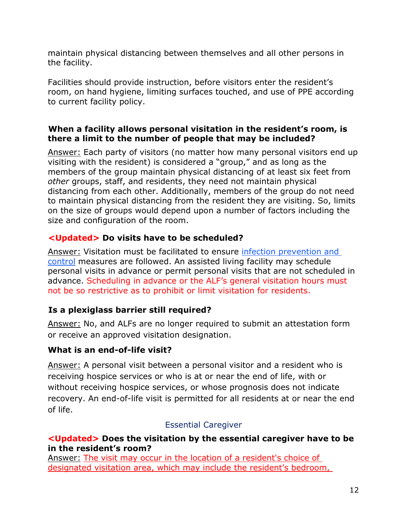maintain physical distancing between themselves and all other persons in the facility.

Facilities should provide instruction, before visitors enter the resident's room, on hand hygiene, limiting surfaces touched, and use of PPE according to current facility policy.

### **When a facility allows personal visitation in the resident's room, is there a limit to the number of people that may be included?**

Answer: Each party of visitors (no matter how many personal visitors end up visiting with the resident) is considered a "group," and as long as the members of the group maintain physical distancing of at least six feet from *other* groups, staff, and residents, they need not maintain physical distancing from each other. Additionally, members of the group do not need to maintain physical distancing from the resident they are visiting. So, limits on the size of groups would depend upon a number of factors including the size and configuration of the room.

# **<Updated> Do visits have to be scheduled?**

Answer: Visitation must be facilitated to ensure [infection prevention and](https://www.cdc.gov/coronavirus/2019-ncov/hcp/long-term-care.html)  [control](https://www.cdc.gov/coronavirus/2019-ncov/hcp/long-term-care.html) measures are followed. An assisted living facility may schedule personal visits in advance or permit personal visits that are not scheduled in advance. Scheduling in advance or the ALF's general visitation hours must not be so restrictive as to prohibit or limit visitation for residents.

# **Is a plexiglass barrier still required?**

Answer: No, and ALFs are no longer required to submit an attestation form or receive an approved visitation designation.

# **What is an end-of-life visit?**

Answer: A personal visit between a personal visitor and a resident who is receiving hospice services or who is at or near the end of life, with or without receiving hospice services, or whose prognosis does not indicate recovery. An end-of-life visit is permitted for all residents at or near the end of life.

### Essential Caregiver

### <span id="page-11-0"></span>**<Updated> Does the visitation by the essential caregiver have to be in the resident's room?**

Answer: The visit may occur in the location of a resident's choice of designated visitation area, which may include the resident's bedroom,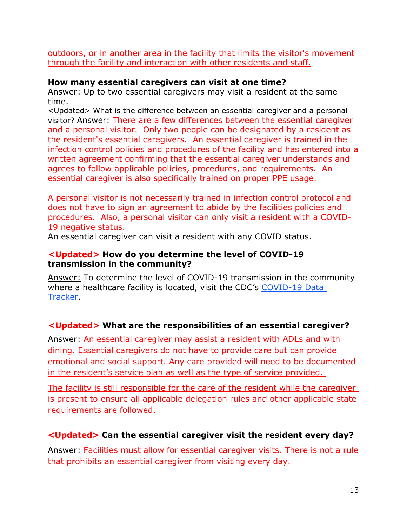outdoors, or in another area in the facility that limits the visitor's movement through the facility and interaction with other residents and staff.

#### **How many essential caregivers can visit at one time?**

Answer: Up to two essential caregivers may visit a resident at the same time.

<Updated> What is the difference between an essential caregiver and a personal visitor? Answer: There are a few differences between the essential caregiver and a personal visitor. Only two people can be designated by a resident as the resident's essential caregivers. An essential caregiver is trained in the infection control policies and procedures of the facility and has entered into a written agreement confirming that the essential caregiver understands and agrees to follow applicable policies, procedures, and requirements. An essential caregiver is also specifically trained on proper PPE usage.

A personal visitor is not necessarily trained in infection control protocol and does not have to sign an agreement to abide by the facilities policies and procedures. Also, a personal visitor can only visit a resident with a COVID-19 negative status.

An essential caregiver can visit a resident with any COVID status.

#### **<Updated> How do you determine the level of COVID-19 transmission in the community?**

Answer: To determine the level of COVID-19 transmission in the community where a healthcare facility is located, visit the CDC's COVID-19 Data [Tracker.](https://covid.cdc.gov/covid-data-tracker/#county-view)

# **<Updated> What are the responsibilities of an essential caregiver?**

Answer: An essential caregiver may assist a resident with ADLs and with dining. Essential caregivers do not have to provide care but can provide emotional and social support. Any care provided will need to be documented in the resident's service plan as well as the type of service provided.

The facility is still responsible for the care of the resident while the caregiver is present to ensure all applicable delegation rules and other applicable state requirements are followed.

# **<Updated> Can the essential caregiver visit the resident every day?**

Answer: Facilities must allow for essential caregiver visits. There is not a rule that prohibits an essential caregiver from visiting every day.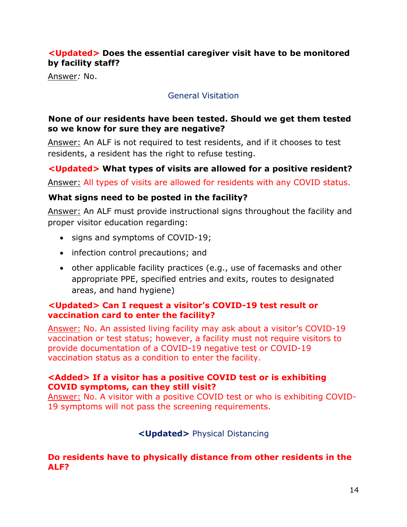# **<Updated> Does the essential caregiver visit have to be monitored by facility staff?**

<span id="page-13-0"></span>Answer*:* No.

### General Visitation

### **None of our residents have been tested. Should we get them tested so we know for sure they are negative?**

Answer: An ALF is not required to test residents, and if it chooses to test residents, a resident has the right to refuse testing.

# **<Updated> What types of visits are allowed for a positive resident?**

Answer: All types of visits are allowed for residents with any COVID status.

# **What signs need to be posted in the facility?**

Answer: An ALF must provide instructional signs throughout the facility and proper visitor education regarding:

- signs and symptoms of COVID-19;
- infection control precautions; and
- other applicable facility practices (e.g., use of facemasks and other appropriate PPE, specified entries and exits, routes to designated areas, and hand hygiene)

#### **<Updated> Can I request a visitor's COVID-19 test result or vaccination card to enter the facility?**

Answer: No. An assisted living facility may ask about a visitor's COVID-19 vaccination or test status; however, a facility must not require visitors to provide documentation of a COVID-19 negative test or COVID-19 vaccination status as a condition to enter the facility.

#### **<Added> If a visitor has a positive COVID test or is exhibiting COVID symptoms, can they still visit?**

<span id="page-13-1"></span>Answer: No. A visitor with a positive COVID test or who is exhibiting COVID-19 symptoms will not pass the screening requirements.

### **<Updated>** Physical Distancing

#### **Do residents have to physically distance from other residents in the ALF?**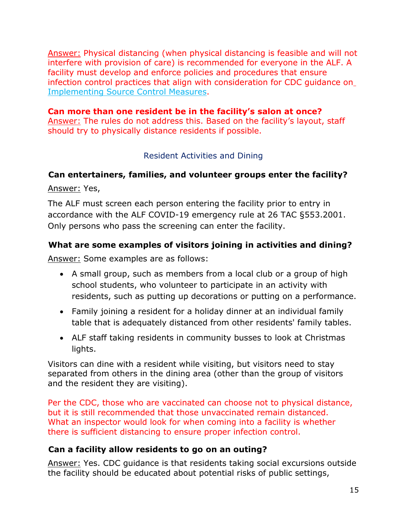Answer: Physical distancing (when physical distancing is feasible and will not interfere with provision of care) is recommended for everyone in the ALF. A facility must develop and enforce policies and procedures that ensure infection control practices that align with consideration for CDC guidance on [Implementing Source Control Measures.](https://www.cdc.gov/coronavirus/2019-ncov/hcp/infection-control-recommendations.html)

**Can more than one resident be in the facility's salon at once?**  Answer: The rules do not address this. Based on the facility's layout, staff should try to physically distance residents if possible.

### Resident Activities and Dining

# <span id="page-14-0"></span>**Can entertainers, families, and volunteer groups enter the facility?**

Answer: Yes,

The ALF must screen each person entering the facility prior to entry in accordance with the ALF COVID-19 emergency rule at 26 TAC §553.2001. Only persons who pass the screening can enter the facility.

# **What are some examples of visitors joining in activities and dining?**

Answer: Some examples are as follows:

- A small group, such as members from a local club or a group of high school students, who volunteer to participate in an activity with residents, such as putting up decorations or putting on a performance.
- Family joining a resident for a holiday dinner at an individual family table that is adequately distanced from other residents' family tables.
- ALF staff taking residents in community busses to look at Christmas lights.

Visitors can dine with a resident while visiting, but visitors need to stay separated from others in the dining area (other than the group of visitors and the resident they are visiting).

Per the CDC, those who are vaccinated can choose not to physical distance, but it is still recommended that those unvaccinated remain distanced. What an inspector would look for when coming into a facility is whether there is sufficient distancing to ensure proper infection control.

### **Can a facility allow residents to go on an outing?**

Answer: Yes. CDC guidance is that residents taking social excursions outside the facility should be educated about potential risks of public settings,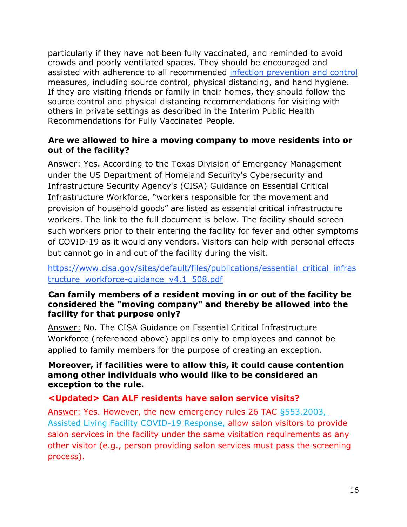particularly if they have not been fully vaccinated, and reminded to avoid crowds and poorly ventilated spaces. They should be encouraged and assisted with adherence to all recommended [infection prevention and control](https://www.cdc.gov/coronavirus/2019-ncov/hcp/long-term-care.html) measures, including source control, physical distancing, and hand hygiene. If they are visiting friends or family in their homes, they should follow the source control and physical distancing recommendations for visiting with others in private settings as described in the Interim Public Health Recommendations for Fully Vaccinated People.

### **Are we allowed to hire a moving company to move residents into or out of the facility?**

Answer: Yes. According to the Texas Division of Emergency Management under the US Department of Homeland Security's Cybersecurity and Infrastructure Security Agency's (CISA) Guidance on Essential Critical Infrastructure Workforce, "workers responsible for the movement and provision of household goods" are listed as essential critical infrastructure workers. The link to the full document is below. The facility should screen such workers prior to their entering the facility for fever and other symptoms of COVID-19 as it would any vendors. Visitors can help with personal effects but cannot go in and out of the facility during the visit.

# [https://www.cisa.gov/sites/default/files/publications/essential\\_critical\\_infras](https://www.cisa.gov/sites/default/files/publications/essential_critical_infrastructure_workforce-guidance_v4.1_508.pdf) [tructure\\_workforce-guidance\\_v4.1\\_508.pdf](https://www.cisa.gov/sites/default/files/publications/essential_critical_infrastructure_workforce-guidance_v4.1_508.pdf)

### **Can family members of a resident moving in or out of the facility be considered the "moving company" and thereby be allowed into the facility for that purpose only?**

Answer: No. The CISA Guidance on Essential Critical Infrastructure Workforce (referenced above) applies only to employees and cannot be applied to family members for the purpose of creating an exception.

#### **Moreover, if facilities were to allow this, it could cause contention among other individuals who would like to be considered an exception to the rule.**

### **<Updated> Can ALF residents have salon service visits?**

Answer: Yes. However, the new emergency rules 26 TAC [§553.2003,](https://hhs.texas.gov/sites/default/files/documents/doing-business-with-hhs/providers/long-term-care/alf/alf-covid-19-expanision-reopening-visitation-emergency-rule.pdf)  [Assisted Living](https://hhs.texas.gov/sites/default/files/documents/doing-business-with-hhs/providers/long-term-care/alf/alf-covid-19-expanision-reopening-visitation-emergency-rule.pdf) [Facility COVID-19 Response,](https://hhs.texas.gov/sites/default/files/documents/doing-business-with-hhs/providers/long-term-care/alf/alf-covid-19-expanision-reopening-visitation-emergency-rule.pdf) allow salon visitors to provide salon services in the facility under the same visitation requirements as any other visitor (e.g., person providing salon services must pass the screening process).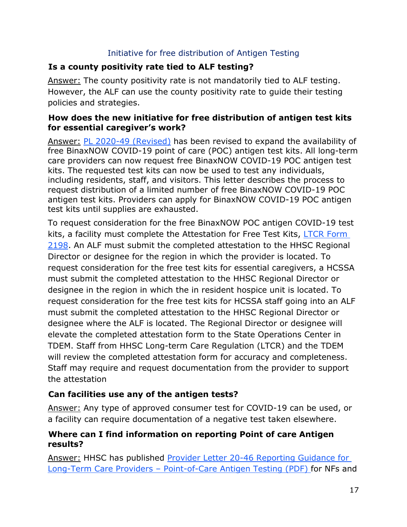### Initiative for free distribution of Antigen Testing

# <span id="page-16-0"></span>**Is a county positivity rate tied to ALF testing?**

Answer: The county positivity rate is not mandatorily tied to ALF testing. However, the ALF can use the county positivity rate to guide their testing policies and strategies.

### **How does the new initiative for free distribution of antigen test kits for essential caregiver's work?**

Answer: [PL 2020-49 \(Revised\)](https://apps.hhs.texas.gov/providers/communications/2020/letters/PL2020-49.pdf) has been revised to expand the availability of free BinaxNOW COVID-19 point of care (POC) antigen test kits. All long-term care providers can now request free BinaxNOW COVID-19 POC antigen test kits. The requested test kits can now be used to test any individuals, including residents, staff, and visitors. This letter describes the process to request distribution of a limited number of free BinaxNOW COVID-19 POC antigen test kits. Providers can apply for BinaxNOW COVID-19 POC antigen test kits until supplies are exhausted.

To request consideration for the free BinaxNOW POC antigen COVID-19 test kits, a facility must complete the Attestation for Free Test Kits, [LTCR Form](https://hhs.texas.gov/sites/default/files/documents/services/health/coronavirus-covid-19/attestation-free-covid-19-test-kits.pdf)  [2198.](https://hhs.texas.gov/sites/default/files/documents/services/health/coronavirus-covid-19/attestation-free-covid-19-test-kits.pdf) An ALF must submit the completed attestation to the HHSC Regional Director or designee for the region in which the provider is located. To request consideration for the free test kits for essential caregivers, a HCSSA must submit the completed attestation to the HHSC Regional Director or designee in the region in which the in resident hospice unit is located. To request consideration for the free test kits for HCSSA staff going into an ALF must submit the completed attestation to the HHSC Regional Director or designee where the ALF is located. The Regional Director or designee will elevate the completed attestation form to the State Operations Center in TDEM. Staff from HHSC Long-term Care Regulation (LTCR) and the TDEM will review the completed attestation form for accuracy and completeness. Staff may require and request documentation from the provider to support the attestation

# **Can facilities use any of the antigen tests?**

Answer: Any type of approved consumer test for COVID-19 can be used, or a facility can require documentation of a negative test taken elsewhere.

# **Where can I find information on reporting Point of care Antigen results?**

Answer: HHSC has published [Provider Letter 20-46 Reporting Guidance for](https://apps.hhs.texas.gov/providers/communications/2020/letters/PL2020-46.pdf) Long-Term Care Providers – [Point-of-Care Antigen Testing \(PDF\) f](https://apps.hhs.texas.gov/providers/communications/2020/letters/PL2020-46.pdf)or NFs and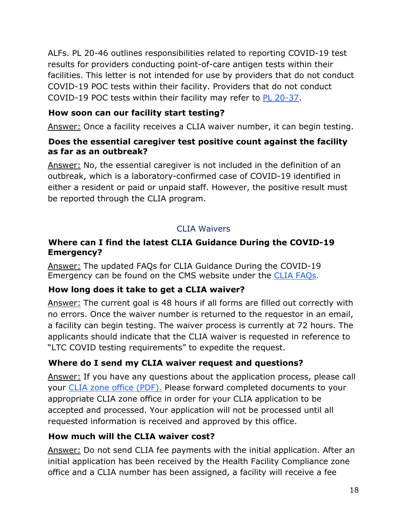ALFs. PL 20-46 outlines responsibilities related to reporting COVID-19 test results for providers conducting point-of-care antigen tests within their facilities. This letter is not intended for use by providers that do not conduct COVID-19 POC tests within their facility. Providers that do not conduct COVID-19 POC tests within their facility may refer to [PL 20-37.](https://apps.hhs.texas.gov/providers/communications/2020/letters/PL2020-37.pdf)

# **How soon can our facility start testing?**

Answer: Once a facility receives a CLIA waiver number, it can begin testing.

## **Does the essential caregiver test positive count against the facility as far as an outbreak?**

Answer: No, the essential caregiver is not included in the definition of an outbreak, which is a laboratory-confirmed case of COVID-19 identified in either a resident or paid or unpaid staff. However, the positive result must be reported through the CLIA program.

# CLIA Waivers

## <span id="page-17-0"></span>**Where can I find the latest CLIA Guidance During the COVID-19 Emergency?**

Answer: The updated FAQs for CLIA Guidance During the COVID-19 Emergency can be found on the CMS website under the [CLIA FAQs.](https://www.cms.gov/files/document/frequently-asked-questions-faqs-clia-guidance-during-covid-19-emergency.pdf)

# **How long does it take to get a CLIA waiver?**

Answer: The current goal is 48 hours if all forms are filled out correctly with no errors. Once the waiver number is returned to the requestor in an email, a facility can begin testing. The waiver process is currently at 72 hours. The applicants should indicate that the CLIA waiver is requested in reference to "LTC COVID testing requirements" to expedite the request.

# **Where do I send my CLIA waiver request and questions?**

Answer: If you have any questions about the application process, please call your [CLIA zone office \(PDF\).](https://hhs.texas.gov/sites/default/files/documents/doing-business-with-hhs/provider-portal/facilities-regulation/health-facility-compliance-zones.pdf) Please forward completed documents to your appropriate CLIA zone office in order for your CLIA application to be accepted and processed. Your application will not be processed until all requested information is received and approved by this office.

# **How much will the CLIA waiver cost?**

Answer: Do not send CLIA fee payments with the initial application. After an initial application has been received by the Health Facility Compliance zone office and a CLIA number has been assigned, a facility will receive a fee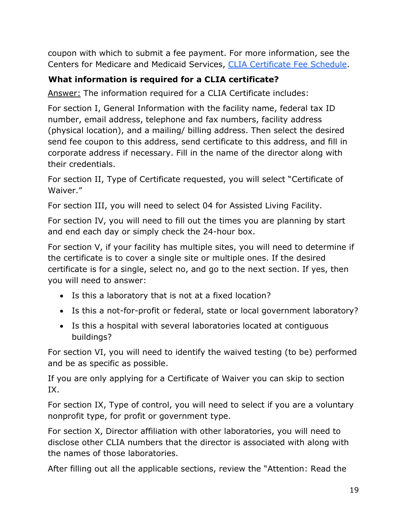coupon with which to submit a fee payment. For more information, see the Centers for Medicare and Medicaid Services, [CLIA Certificate Fee Schedule.](https://www.cms.gov/Regulations-and-Guidance/Legislation/CLIA/CLIA_Certificate_Fee_Schedule.html)

# **What information is required for a CLIA certificate?**

Answer: The information required for a CLIA Certificate includes:

For section I, General Information with the facility name, federal tax ID number, email address, telephone and fax numbers, facility address (physical location), and a mailing/ billing address. Then select the desired send fee coupon to this address, send certificate to this address, and fill in corporate address if necessary. Fill in the name of the director along with their credentials.

For section II, Type of Certificate requested, you will select "Certificate of Waiver."

For section III, you will need to select 04 for Assisted Living Facility.

For section IV, you will need to fill out the times you are planning by start and end each day or simply check the 24-hour box.

For section V, if your facility has multiple sites, you will need to determine if the certificate is to cover a single site or multiple ones. If the desired certificate is for a single, select no, and go to the next section. If yes, then you will need to answer:

- Is this a laboratory that is not at a fixed location?
- Is this a not-for-profit or federal, state or local government laboratory?
- Is this a hospital with several laboratories located at contiguous buildings?

For section VI, you will need to identify the waived testing (to be) performed and be as specific as possible.

If you are only applying for a Certificate of Waiver you can skip to section IX.

For section IX, Type of control, you will need to select if you are a voluntary nonprofit type, for profit or government type.

For section X, Director affiliation with other laboratories, you will need to disclose other CLIA numbers that the director is associated with along with the names of those laboratories.

After filling out all the applicable sections, review the "Attention: Read the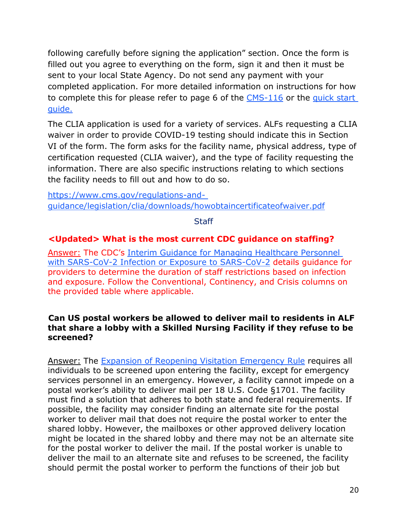following carefully before signing the application" section. Once the form is filled out you agree to everything on the form, sign it and then it must be sent to your local State Agency. Do not send any payment with your completed application. For more detailed information on instructions for how to complete this for please refer to page 6 of the [CMS-116](https://www.cms.gov/Medicare/CMS-Forms/CMS-Forms/Downloads/CMS116.pdf) or the [quick start](https://www.cms.gov/files/document/cms-clia-laboratory-quick-start-guide-remediated.pdf) [guide.](https://www.cms.gov/files/document/cms-clia-laboratory-quick-start-guide-remediated.pdf)

The CLIA application is used for a variety of services. ALFs requesting a CLIA waiver in order to provide COVID-19 testing should indicate this in Section VI of the form. The form asks for the facility name, physical address, type of certification requested (CLIA waiver), and the type of facility requesting the information. There are also specific instructions relating to which sections the facility needs to fill out and how to do so.

[https://www.cms.gov/regulations-and](https://www.cms.gov/regulations-and-guidance/legislation/clia/downloads/howobtaincertificateofwaiver.pdf)[guidance/legislation/clia/downloads/howobtaincertificateofwaiver.pdf](https://www.cms.gov/regulations-and-guidance/legislation/clia/downloads/howobtaincertificateofwaiver.pdf)

**Staff** 

### <span id="page-19-0"></span>**<Updated> What is the most current CDC guidance on staffing?**

Answer: The CDC's [Interim Guidance for Managing Healthcare Personnel](https://www.cdc.gov/coronavirus/2019-ncov/hcp/guidance-risk-assesment-hcp.html?CDC_AA_refVal=https%3A%2F%2Fwww.cdc.gov%2Fcoronavirus%2F2019-ncov%2Fhcp%2Freturn-to-work.html)  [with SARS-CoV-2 Infection or Exposure to SARS-CoV-2](https://www.cdc.gov/coronavirus/2019-ncov/hcp/guidance-risk-assesment-hcp.html?CDC_AA_refVal=https%3A%2F%2Fwww.cdc.gov%2Fcoronavirus%2F2019-ncov%2Fhcp%2Freturn-to-work.html) details guidance for providers to determine the duration of staff restrictions based on infection and exposure. Follow the Conventional, Continency, and Crisis columns on the provided table where applicable.

#### **Can US postal workers be allowed to deliver mail to residents in ALF that share a lobby with a Skilled Nursing Facility if they refuse to be screened?**

Answer: The [Expansion of Reopening Visitation Emergency Rule](https://hhs.texas.gov/sites/default/files/documents/doing-business-with-hhs/provider-portal/long-term-care/nf/nf-covid-19-expansion-reopening-visitation-emergency-rule.pdf) requires all individuals to be screened upon entering the facility, except for emergency services personnel in an emergency. However, a facility cannot impede on a postal worker's ability to deliver mail per 18 U.S. Code §1701. The facility must find a solution that adheres to both state and federal requirements. If possible, the facility may consider finding an alternate site for the postal worker to deliver mail that does not require the postal worker to enter the shared lobby. However, the mailboxes or other approved delivery location might be located in the shared lobby and there may not be an alternate site for the postal worker to deliver the mail. If the postal worker is unable to deliver the mail to an alternate site and refuses to be screened, the facility should permit the postal worker to perform the functions of their job but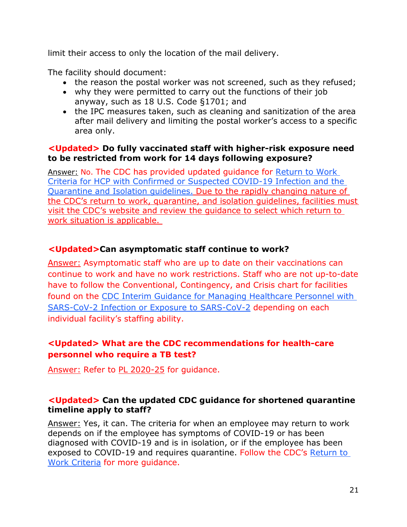limit their access to only the location of the mail delivery.

The facility should document:

- the reason the postal worker was not screened, such as they refused;
- why they were permitted to carry out the functions of their job anyway, such as 18 U.S. Code §1701; and
- the IPC measures taken, such as cleaning and sanitization of the area after mail delivery and limiting the postal worker's access to a specific area only.

### **<Updated> Do fully vaccinated staff with higher-risk exposure need to be restricted from work for 14 days following exposure?**

Answer: No. The CDC has provided updated guidance for [Return to Work](https://www.cdc.gov/coronavirus/2019-ncov/hcp/return-to-work.html)  [Criteria for HCP with Confirmed or Suspected COVID-19 Infection](https://www.cdc.gov/coronavirus/2019-ncov/hcp/return-to-work.html) and the [Quarantine and Isolation guidelines.](https://www.cdc.gov/coronavirus/2019-ncov/your-health/quarantine-isolation.html) Due to the rapidly changing nature of the CDC's return to work, quarantine, and isolation guidelines, facilities must visit the CDC's website and review the guidance to select which return to work situation is applicable.

# **<Updated>Can asymptomatic staff continue to work?**

Answer: Asymptomatic staff who are up to date on their vaccinations can continue to work and have no work restrictions. Staff who are not up-to-date have to follow the Conventional, Contingency, and Crisis chart for facilities found on the CDC Interim Guidance for Managing Healthcare Personnel with [SARS-CoV-2 Infection or Exposure to SARS-CoV-2](https://www.cdc.gov/coronavirus/2019-ncov/hcp/guidance-risk-assesment-hcp.html?CDC_AA_refVal=https%3A%2F%2Fwww.cdc.gov%2Fcoronavirus%2F2019-ncov%2Fhcp%2Freturn-to-work.html) depending on each individual facility's staffing ability.

# **<Updated> What are the CDC recommendations for health-care personnel who require a TB test?**

Answer: Refer to [PL 2020-25](https://www.hhs.texas.gov/sites/default/files/documents/providers/communications/2020/letters/PL2020-25.pdf) for guidance.

### **<Updated> Can the updated CDC guidance for shortened quarantine timeline apply to staff?**

Answer: Yes, it can. The criteria for when an employee may return to work depends on if the employee has symptoms of COVID-19 or has been diagnosed with COVID-19 and is in isolation, or if the employee has been exposed to COVID-19 and requires quarantine. Follow the CDC's [Return to](https://www.cdc.gov/coronavirus/2019-ncov/hcp/return-to-work.html)  [Work Criteria](https://www.cdc.gov/coronavirus/2019-ncov/hcp/return-to-work.html) for more guidance.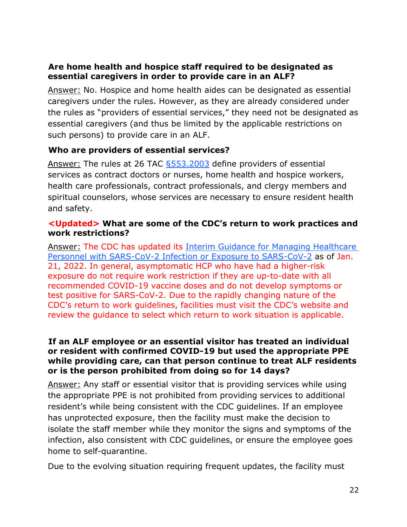### **Are home health and hospice staff required to be designated as essential caregivers in order to provide care in an ALF?**

Answer: No. Hospice and home health aides can be designated as essential caregivers under the rules. However, as they are already considered under the rules as "providers of essential services," they need not be designated as essential caregivers (and thus be limited by the applicable restrictions on such persons) to provide care in an ALF.

### **Who are providers of essential services?**

Answer: The rules at 26 TAC [§553.2003](https://hhs.texas.gov/sites/default/files/documents/doing-business-with-hhs/providers/long-term-care/alf/alf-covid-19-expanision-reopening-visitation-emergency-rule.pdf) define providers of essential services as contract doctors or nurses, home health and hospice workers, health care professionals, contract professionals, and clergy members and spiritual counselors, whose services are necessary to ensure resident health and safety.

#### **<Updated> What are some of the CDC's return to work practices and work restrictions?**

Answer: The CDC has updated its [Interim Guidance for Managing Healthcare](https://www.cdc.gov/coronavirus/2019-ncov/hcp/guidance-risk-assesment-hcp.html?CDC_AA_refVal=https%3A%2F%2Fwww.cdc.gov%2Fcoronavirus%2F2019-ncov%2Fhcp%2Freturn-to-work.html)  [Personnel with SARS-CoV-2 Infection or Exposure to SARS-CoV-2](https://www.cdc.gov/coronavirus/2019-ncov/hcp/guidance-risk-assesment-hcp.html?CDC_AA_refVal=https%3A%2F%2Fwww.cdc.gov%2Fcoronavirus%2F2019-ncov%2Fhcp%2Freturn-to-work.html) as of Jan. 21, 2022. In general, asymptomatic HCP who have had a higher-risk exposure do not require work restriction if they are up-to-date with all recommended COVID-19 vaccine doses and do not develop symptoms or test positive for SARS-CoV-2. Due to the rapidly changing nature of the CDC's return to work guidelines, facilities must visit the CDC's website and review the guidance to select which return to work situation is applicable.

#### **If an ALF employee or an essential visitor has treated an individual or resident with confirmed COVID-19 but used the appropriate PPE while providing care, can that person continue to treat ALF residents or is the person prohibited from doing so for 14 days?**

Answer: Any staff or essential visitor that is providing services while using the appropriate PPE is not prohibited from providing services to additional resident's while being consistent with the CDC guidelines. If an employee has unprotected exposure, then the facility must make the decision to isolate the staff member while they monitor the signs and symptoms of the infection, also consistent with CDC guidelines, or ensure the employee goes home to self-quarantine.

Due to the evolving situation requiring frequent updates, the facility must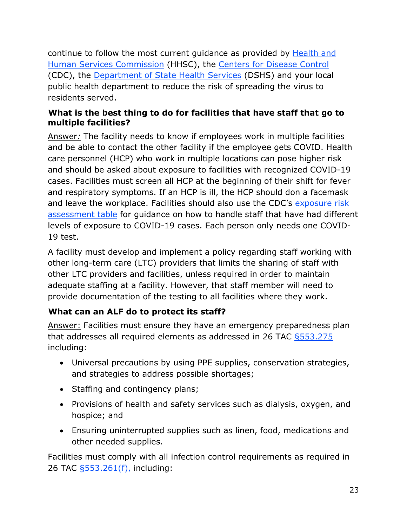continue to follow the most current guidance as provided by [Health and](https://hhs.texas.gov/services/health/coronavirus-covid-19) [Human Services Commission](https://hhs.texas.gov/services/health/coronavirus-covid-19) (HHSC), the [Centers for Disease Control](https://www.cdc.gov/coronavirus/2019-nCoV/index.html) (CDC), the [Department of State Health Services](https://dshs.texas.gov/coronavirus/) (DSHS) and your local public health department to reduce the risk of spreading the virus to residents served.

# **What is the best thing to do for facilities that have staff that go to multiple facilities?**

Answer*:* The facility needs to know if employees work in multiple facilities and be able to contact the other facility if the employee gets COVID. Health care personnel (HCP) who work in multiple locations can pose higher risk and should be asked about exposure to facilities with recognized COVID-19 cases. Facilities must screen all HCP at the beginning of their shift for fever and respiratory symptoms. If an HCP is ill, the HCP should don a facemask and leave the workplace. Facilities should also use the CDC's [exposure risk](https://www.cdc.gov/coronavirus/2019-ncov/hcp/guidance-risk-assesment-hcp.html?CDC_AA_refVal=https%3A%2F%2Fwww.cdc.gov%2Fcoronavirus%2F2019-ncov%2Fhcp%2Freturn-to-work.html)  [assessment table](https://www.cdc.gov/coronavirus/2019-ncov/hcp/guidance-risk-assesment-hcp.html?CDC_AA_refVal=https%3A%2F%2Fwww.cdc.gov%2Fcoronavirus%2F2019-ncov%2Fhcp%2Freturn-to-work.html) for guidance on how to handle staff that have had different levels of exposure to COVID-19 cases. Each person only needs one COVID-19 test.

A facility must develop and implement a policy regarding staff working with other long-term care (LTC) providers that limits the sharing of staff with other LTC providers and facilities, unless required in order to maintain adequate staffing at a facility. However, that staff member will need to provide documentation of the testing to all facilities where they work.

# **What can an ALF do to protect its staff?**

Answer: Facilities must ensure they have an emergency preparedness plan that addresses all required elements as addressed in 26 TAC §553.275 including:

- Universal precautions by using PPE supplies, conservation strategies, and strategies to address possible shortages;
- Staffing and contingency plans;
- Provisions of health and safety services such as dialysis, oxygen, and hospice; and
- Ensuring uninterrupted supplies such as linen, food, medications and other needed supplies.

Facilities must comply with all infection control requirements as required in 26 TAC [§553.261\(f\),](https://texreg.sos.state.tx.us/public/readtac$ext.TacPage?sl=R&app=9&p_dir=&p_rloc=&p_tloc=&p_ploc=&pg=1&p_tac=&ti=26&pt=1&ch=553&rl=261) including: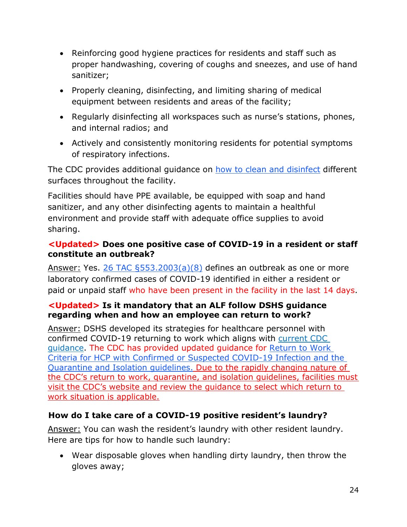- Reinforcing good hygiene practices for residents and staff such as proper handwashing, covering of coughs and sneezes, and use of hand sanitizer;
- Properly cleaning, disinfecting, and limiting sharing of medical equipment between residents and areas of the facility;
- Regularly disinfecting all workspaces such as nurse's stations, phones, and internal radios; and
- Actively and consistently monitoring residents for potential symptoms of respiratory infections.

The CDC provides additional guidance on [how to clean and disinfect](https://www.cdc.gov/coronavirus/2019-ncov/community/disinfecting-building-facility.html?CDC_AA_refVal=https%3A%2F%2Fwww.cdc.gov%2Fcoronavirus%2F2019-ncov%2Fprepare%2Fdisinfecting-building-facility.html) different surfaces throughout the facility.

Facilities should have PPE available, be equipped with soap and hand sanitizer, and any other disinfecting agents to maintain a healthful environment and provide staff with adequate office supplies to avoid sharing.

## **<Updated> Does one positive case of COVID-19 in a resident or staff constitute an outbreak?**

Answer: Yes. 26 TAC  $\S 553.2003(a)(8)$  defines an outbreak as one or more laboratory confirmed cases of COVID-19 identified in either a resident or paid or unpaid staff who have been present in the facility in the last 14 days.

### **<Updated> Is it mandatory that an ALF follow DSHS guidance regarding when and how an employee can return to work?**

Answer: DSHS developed its strategies for healthcare personnel with confirmed COVID-19 returning to work which aligns with [current CDC](https://www.cdc.gov/coronavirus/2019-ncov/hcp/guidance-risk-assesment-hcp.html?CDC_AA_refVal=https%3A%2F%2Fwww.cdc.gov%2Fcoronavirus%2F2019-ncov%2Fhcp%2Freturn-to-work.html)  [guidance.](https://www.cdc.gov/coronavirus/2019-ncov/hcp/guidance-risk-assesment-hcp.html?CDC_AA_refVal=https%3A%2F%2Fwww.cdc.gov%2Fcoronavirus%2F2019-ncov%2Fhcp%2Freturn-to-work.html) The CDC has provided updated guidance for [Return to Work](https://www.cdc.gov/coronavirus/2019-ncov/hcp/return-to-work.html)  [Criteria for HCP with Confirmed or Suspected COVID-19 Infection](https://www.cdc.gov/coronavirus/2019-ncov/hcp/return-to-work.html) and the [Quarantine and Isolation guidelines.](https://www.cdc.gov/coronavirus/2019-ncov/your-health/quarantine-isolation.html) Due to the rapidly changing nature of the CDC's return to work, quarantine, and isolation guidelines, facilities must visit the CDC's website and review the guidance to select which return to work situation is applicable.

# **How do I take care of a COVID-19 positive resident's laundry?**

Answer: You can wash the resident's laundry with other resident laundry. Here are tips for how to handle such laundry:

• Wear disposable gloves when handling dirty laundry, then throw the gloves away;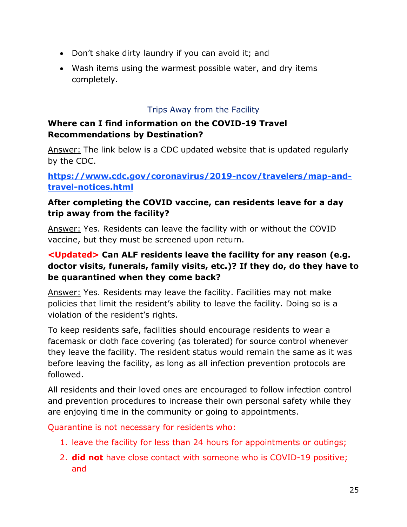- Don't shake dirty laundry if you can avoid it; and
- Wash items using the warmest possible water, and dry items completely.

# Trips Away from the Facility

# <span id="page-24-0"></span>**Where can I find information on the COVID-19 Travel Recommendations by Destination?**

Answer: The link below is a CDC updated website that is updated regularly by the CDC.

**[https://www.cdc.gov/coronavirus/2019-ncov/travelers/map-and](https://www.cdc.gov/coronavirus/2019-ncov/travelers/map-and-travel-notices.html)[travel-notices.html](https://www.cdc.gov/coronavirus/2019-ncov/travelers/map-and-travel-notices.html)**

# **After completing the COVID vaccine, can residents leave for a day trip away from the facility?**

Answer: Yes. Residents can leave the facility with or without the COVID vaccine, but they must be screened upon return.

# **<Updated> Can ALF residents leave the facility for any reason (e.g. doctor visits, funerals, family visits, etc.)? If they do, do they have to be quarantined when they come back?**

Answer: Yes. Residents may leave the facility. Facilities may not make policies that limit the resident's ability to leave the facility. Doing so is a violation of the resident's rights.

To keep residents safe, facilities should encourage residents to wear a facemask or cloth face covering (as tolerated) for source control whenever they leave the facility. The resident status would remain the same as it was before leaving the facility, as long as all infection prevention protocols are followed.

All residents and their loved ones are encouraged to follow infection control and prevention procedures to increase their own personal safety while they are enjoying time in the community or going to appointments.

Quarantine is not necessary for residents who:

- 1. leave the facility for less than 24 hours for appointments or outings;
- 2. **did not** have close contact with someone who is COVID-19 positive; and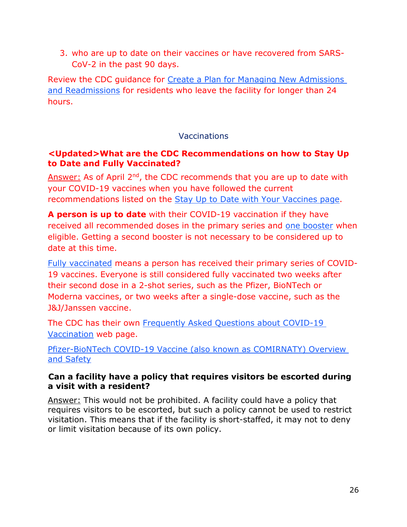3. who are up to date on their vaccines or have recovered from SARS-CoV-2 in the past 90 days.

Review the CDC guidance for [Create a Plan for Managing New Admissions](https://www.cdc.gov/coronavirus/2019-ncov/hcp/long-term-care.html#anchor_1631031505598)  [and Readmissions](https://www.cdc.gov/coronavirus/2019-ncov/hcp/long-term-care.html#anchor_1631031505598) for residents who leave the facility for longer than 24 hours.

### **Vaccinations**

#### <span id="page-25-0"></span>**<Updated>What are the CDC Recommendations on how to Stay Up to Date and Fully Vaccinated?**

Answer: As of April 2<sup>nd</sup>, the CDC recommends that you are up to date with your COVID-19 vaccines when you have followed the current recommendations listed on the [Stay Up to Date with Your Vaccines page.](https://www.cdc.gov/coronavirus/2019-ncov/vaccines/stay-up-to-date.html?CDC_AA_refVal=https%3A%2F%2Fwww.cdc.gov%2Fcoronavirus%2F2019-ncov%2Fvaccines%2Ffully-vaccinated.html)

**A person is up to date** with their COVID-19 vaccination if they have received all recommended doses in the primary series and [one booster](https://www.cdc.gov/coronavirus/2019-ncov/vaccines/booster-shot.html) when eligible. Getting a second booster is not necessary to be considered up to date at this time.

[Fully vaccinated](https://www.cdc.gov/coronavirus/2019-ncov/vaccines/stay-up-to-date.html?CDC_AA_refVal=https%3A%2F%2Fwww.cdc.gov%2Fcoronavirus%2F2019-ncov%2Fvaccines%2Ffully-vaccinated.html) means a person has received their primary series of COVID-19 vaccines. Everyone is still considered fully vaccinated two weeks after their second dose in a 2-shot series, such as the Pfizer, BioNTech or Moderna vaccines, or two weeks after a single-dose vaccine, such as the J&J/Janssen vaccine.

The CDC has their own [Frequently Asked Questions about COVID-19](https://www.cdc.gov/coronavirus/2019-ncov/vaccines/faq.html)  [Vaccination](https://www.cdc.gov/coronavirus/2019-ncov/vaccines/faq.html) web page.

[Pfizer-BioNTech COVID-19 Vaccine \(also known as COMIRNATY\) Overview](https://www.cdc.gov/coronavirus/2019-ncov/vaccines/different-vaccines/Pfizer-BioNTech.html)  [and Safety](https://www.cdc.gov/coronavirus/2019-ncov/vaccines/different-vaccines/Pfizer-BioNTech.html)

### **Can a facility have a policy that requires visitors be escorted during a visit with a resident?**

Answer: This would not be prohibited. A facility could have a policy that requires visitors to be escorted, but such a policy cannot be used to restrict visitation. This means that if the facility is short-staffed, it may not to deny or limit visitation because of its own policy.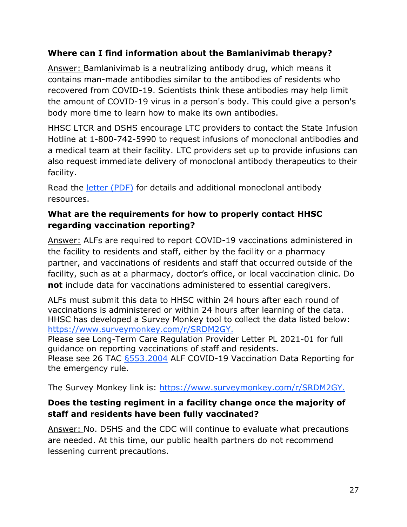# **Where can I find information about the Bamlanivimab therapy?**

Answer: Bamlanivimab is a neutralizing antibody drug, which means it contains man-made antibodies similar to the antibodies of residents who recovered from COVID-19. Scientists think these antibodies may help limit the amount of COVID-19 virus in a person's body. This could give a person's body more time to learn how to make its own antibodies.

HHSC LTCR and DSHS encourage LTC providers to contact the State Infusion Hotline at 1-800-742-5990 to request infusions of monoclonal antibodies and a medical team at their facility. LTC providers set up to provide infusions can also request immediate delivery of monoclonal antibody therapeutics to their facility.

Read the [letter \(PDF\)](https://hhs.texas.gov/sites/default/files/documents/doing-business-with-hhs/provider-portal/long-term-care/nf/how-request-monoclonal-anitbodies.pdf) for details and additional monoclonal antibody resources.

# **What are the requirements for how to properly contact HHSC regarding vaccination reporting?**

Answer: ALFs are required to report COVID-19 vaccinations administered in the facility to residents and staff, either by the facility or a pharmacy partner, and vaccinations of residents and staff that occurred outside of the facility, such as at a pharmacy, doctor's office, or local vaccination clinic. Do **not** include data for vaccinations administered to essential caregivers.

ALFs must submit this data to HHSC within 24 hours after each round of vaccinations is administered or within 24 hours after learning of the data. HHSC has developed a Survey Monkey tool to collect the data listed below: <https://www.surveymonkey.com/r/SRDM2GY.>

Please see Long-Term Care Regulation Provider Letter PL 2021-01 for full guidance on reporting vaccinations of staff and residents. Please see 26 TAC [§553.2004](https://www.hhs.texas.gov/sites/default/files/documents/doing-business-with-hhs/provider-portal/long-term-care/alf/alf-covid-vacc-data-reporting-rule-emergency-comm-system.pdf) ALF COVID-19 Vaccination Data Reporting for the emergency rule.

The Survey Monkey link is: [https://www.surveymonkey.com/r/SRDM2GY.](https://www.surveymonkey.com/r/SRDM2GY)

# **Does the testing regiment in a facility change once the majority of staff and residents have been fully vaccinated?**

Answer: No. DSHS and the CDC will continue to evaluate what precautions are needed. At this time, our public health partners do not recommend lessening current precautions.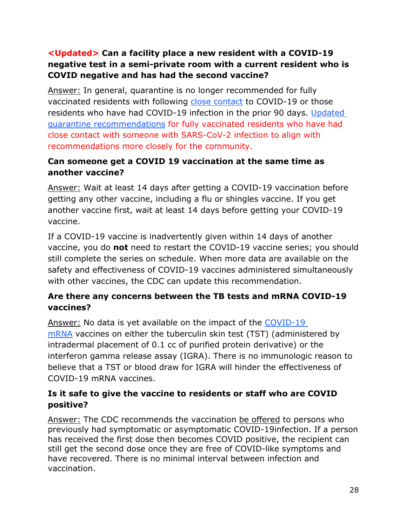# **<Updated> Can a facility place a new resident with a COVID-19 negative test in a semi-private room with a current resident who is COVID negative and has had the second vaccine?**

Answer: In general, quarantine is no longer recommended for fully vaccinated residents with following [close contact](https://www.cdc.gov/coronavirus/2019-ncov/hcp/infection-control-recommendations.html?CDC_AA_refVal=https%3A%2F%2Fwww.cdc.gov%2Fcoronavirus%2F2019-ncov%2Fhcp%2Fdisposition-hospitalized-patients.html#closecontact) to COVID-19 or those residents who have had COVID-19 infection in the prior 90 days. [Updated](https://www.cdc.gov/coronavirus/2019-ncov/hcp/infection-control-recommendations.html?CDC_AA_refVal=https%3A%2F%2Fwww.cdc.gov%2Fcoronavirus%2F2019-ncov%2Fhcp%2Fdisposition-hospitalized-patients.html#closecontact)  [quarantine recommendations](https://www.cdc.gov/coronavirus/2019-ncov/hcp/infection-control-recommendations.html?CDC_AA_refVal=https%3A%2F%2Fwww.cdc.gov%2Fcoronavirus%2F2019-ncov%2Fhcp%2Fdisposition-hospitalized-patients.html#closecontact) for fully vaccinated residents who have had close contact with someone with SARS-CoV-2 infection to align with recommendations more closely for the community.

# **Can someone get a COVID 19 vaccination at the same time as another vaccine?**

Answer: Wait at least 14 days after getting a COVID-19 vaccination before getting any other vaccine, including a flu or shingles vaccine. If you get another vaccine first, wait at least 14 days before getting your COVID-19 vaccine.

If a COVID-19 vaccine is inadvertently given within 14 days of another vaccine, you do **not** need to restart the COVID-19 vaccine series; you should still complete the series on schedule. When more data are available on the safety and effectiveness of COVID-19 vaccines administered simultaneously with other vaccines, the CDC can update this recommendation.

# **Are there any concerns between the TB tests and mRNA COVID-19 vaccines?**

Answer: No data is yet available on the impact of the [COVID-19](https://www.cdc.gov/coronavirus/2019-ncov/vaccines/different-vaccines/mRNA.html)  [mRNA](https://www.cdc.gov/coronavirus/2019-ncov/vaccines/different-vaccines/mRNA.html) vaccines on either the tuberculin skin test (TST) (administered by intradermal placement of 0.1 cc of purified protein derivative) or the interferon gamma release assay (IGRA). There is no immunologic reason to believe that a TST or blood draw for IGRA will hinder the effectiveness of COVID-19 mRNA vaccines.

# **Is it safe to give the vaccine to residents or staff who are COVID positive?**

Answer: The CDC recommends the vaccination [be offered](https://www.cdc.gov/vaccines/covid-19/info-by-product/clinical-considerations.html) to persons who previously had symptomatic or asymptomatic COVID-19infection. If a person has received the first dose then becomes COVID positive, the recipient can still get the second dose once they are free of COVID-like symptoms and have recovered. There is no minimal interval between infection and vaccination.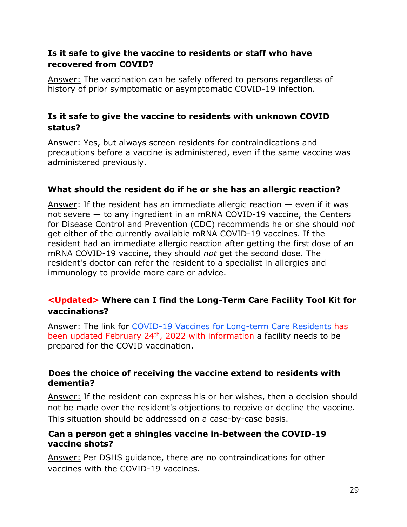# **Is it safe to give the vaccine to residents or staff who have recovered from COVID?**

Answer: The vaccination can be safely offered to persons regardless of history of prior symptomatic or asymptomatic COVID-19 infection.

# **Is it safe to give the vaccine to residents with unknown COVID status?**

Answer: Yes, but always screen residents for contraindications and precautions before a vaccine is administered, even if the same vaccine was administered previously.

### **What should the resident do if he or she has an allergic reaction?**

Answer: If the resident has an immediate allergic reaction  $-$  even if it was not severe — to any ingredient in an mRNA COVID-19 vaccine, the Centers for Disease Control and Prevention (CDC) recommends he or she should *not* get either of the currently available mRNA COVID-19 vaccines. If the resident had an immediate allergic reaction after getting the first dose of an mRNA COVID-19 vaccine, they should *not* get the second dose. The resident's doctor can refer the resident to a specialist in allergies and immunology to provide more care or advice.

# **<Updated> Where can I find the Long-Term Care Facility Tool Kit for vaccinations?**

Answer: The link for [COVID-19 Vaccines for Long-term Care Residents](https://www.cdc.gov/vaccines/covid-19/toolkits/long-term-care/index.html) has been updated February 24<sup>th</sup>, 2022 with information a facility needs to be prepared for the COVID vaccination.

#### **Does the choice of receiving the vaccine extend to residents with dementia?**

Answer: If the resident can express his or her wishes, then a decision should not be made over the resident's objections to receive or decline the vaccine. This situation should be addressed on a case-by-case basis.

#### **Can a person get a shingles vaccine in-between the COVID-19 vaccine shots?**

Answer: Per DSHS guidance, there are no contraindications for other vaccines with the COVID-19 vaccines.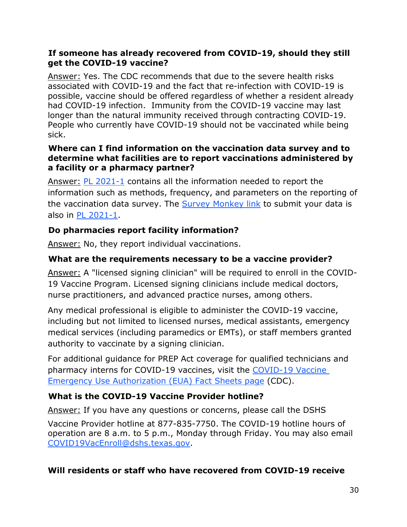### **If someone has already recovered from COVID-19, should they still get the COVID-19 vaccine?**

Answer: Yes. The CDC recommends that due to the severe health risks associated with COVID-19 and the fact that re-infection with COVID-19 is possible, vaccine should be offered regardless of whether a resident already had COVID-19 infection. Immunity from the COVID-19 vaccine may last longer than the natural immunity received through contracting COVID-19. People who currently have COVID-19 should not be vaccinated while being sick.

### **Where can I find information on the vaccination data survey and to determine what facilities are to report vaccinations administered by a facility or a pharmacy partner?**

Answer: [PL 2021-1](https://apps.hhs.texas.gov/providers/communications/2021/letters/PL2021-01.pdf) contains all the information needed to report the information such as methods, frequency, and parameters on the reporting of the vaccination data survey. The [Survey Monkey link](https://www.surveymonkey.com/r/SRDM2GY) to submit your data is also in [PL 2021-1.](https://apps.hhs.texas.gov/providers/communications/2021/letters/PL2021-01.pdf)

# **Do pharmacies report facility information?**

Answer: No, they report individual vaccinations.

# **What are the requirements necessary to be a vaccine provider?**

Answer: A "licensed signing clinician" will be required to enroll in the COVID-19 Vaccine Program. Licensed signing clinicians include medical doctors, nurse practitioners, and advanced practice nurses, among others.

Any medical professional is eligible to administer the COVID-19 vaccine, including but not limited to licensed nurses, medical assistants, emergency medical services (including paramedics or EMTs), or staff members granted authority to vaccinate by a signing clinician.

For additional guidance for PREP Act coverage for qualified technicians and pharmacy interns for COVID-19 vaccines, visit the [COVID-19 Vaccine](https://www.hhs.gov/sites/default/files/prep-act-guidance.pdf)  [Emergency Use Authorization \(EUA\) Fact Sheets page](https://www.hhs.gov/sites/default/files/prep-act-guidance.pdf) (CDC).

# **What is the COVID-19 Vaccine Provider hotline?**

Answer: If you have any questions or concerns, please call the DSHS

Vaccine Provider hotline at 877-835-7750. The COVID-19 hotline hours of operation are 8 a.m. to 5 p.m., Monday through Friday. You may also email [COVID19VacEnroll@dshs.texas.gov.](mailto:COVID19VacEnroll@dshs.texas.gov)

# **Will residents or staff who have recovered from COVID-19 receive**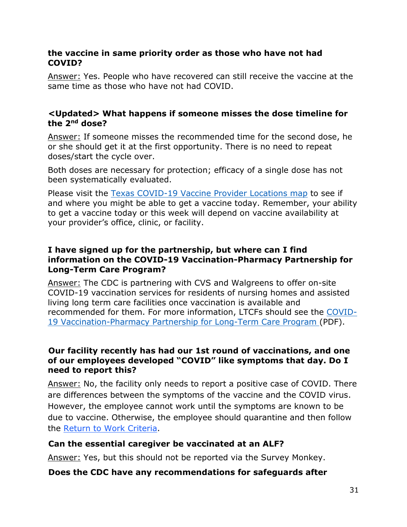#### **the vaccine in same priority order as those who have not had COVID?**

Answer: Yes. People who have recovered can still receive the vaccine at the same time as those who have not had COVID.

#### **<Updated> What happens if someone misses the dose timeline for the 2nd dose?**

Answer: If someone misses the recommended time for the second dose, he or she should get it at the first opportunity. There is no need to repeat doses/start the cycle over.

Both doses are necessary for protection; efficacy of a single dose has not been systematically evaluated.

Please visit the Texas [COVID-19](https://www.dshs.state.tx.us/coronavirus/immunize/vaccine.aspx) Vaccine Provider Locations map to see if and where you might be able to get a vaccine today. Remember, your ability to get a vaccine today or this week will depend on vaccine availability at your provider's office, clinic, or facility.

#### **I have signed up for the partnership, but where can I find information on the COVID-19 Vaccination-Pharmacy Partnership for Long-Term Care Program?**

Answer: The CDC is partnering with CVS and Walgreens to offer on-site COVID-19 vaccination services for residents of nursing homes and assisted living long term care facilities once vaccination is available and recommended for them. For more information, LTCFs should see the [COVID-](https://www.dshs.texas.gov/immunize/covid19/COVID-19-Vaccination-Pharmacy-Partnership-for-LTC.pdf)19 [Vaccination-Pharmacy](https://www.dshs.texas.gov/immunize/covid19/COVID-19-Vaccination-Pharmacy-Partnership-for-LTC.pdf) Partnership for Long-Term Care Program (PDF).

#### **Our facility recently has had our 1st round of vaccinations, and one of our employees developed "COVID" like symptoms that day. Do I need to report this?**

Answer: No, the facility only needs to report a positive case of COVID. There are differences between the symptoms of the vaccine and the COVID virus. However, the employee cannot work until the symptoms are known to be due to vaccine. Otherwise, the employee should quarantine and then follow the [Return to Work Criteria.](https://www.cdc.gov/coronavirus/2019-ncov/hcp/return-to-work.html)

# **Can the essential caregiver be vaccinated at an ALF?**

Answer: Yes, but this should not be reported via the Survey Monkey.

### **Does the CDC have any recommendations for safeguards after**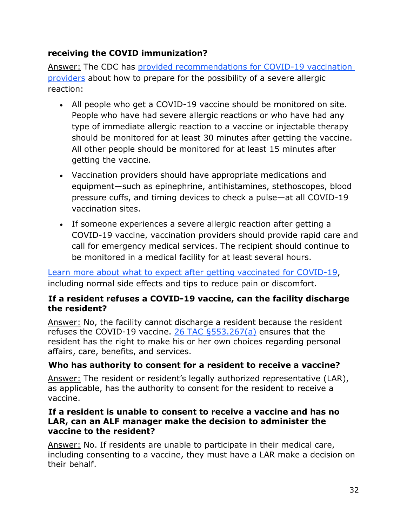# **receiving the COVID immunization?**

Answer: The CDC has [provided recommendations for COVID-19 vaccination](https://www.cdc.gov/vaccines/covid-19/info-by-product/pfizer/anaphylaxis-management.html)  [providers](https://www.cdc.gov/vaccines/covid-19/info-by-product/pfizer/anaphylaxis-management.html) about how to prepare for the possibility of a severe allergic reaction:

- All people who get a COVID-19 vaccine should be monitored on site. People who have had severe allergic reactions or who have had any type of immediate allergic reaction to a vaccine or injectable therapy should be monitored for at least 30 minutes after getting the vaccine. All other people should be monitored for at least 15 minutes after getting the vaccine.
- Vaccination providers should have appropriate medications and equipment—such as epinephrine, antihistamines, stethoscopes, blood pressure cuffs, and timing devices to check a pulse—at all COVID-19 vaccination sites.
- If someone experiences a severe allergic reaction after getting a COVID-19 vaccine, vaccination providers should provide rapid care and call for emergency medical services. The recipient should continue to be monitored in a medical facility for at least several hours.

[Learn more about what to expect after getting vaccinated for COVID-19,](https://www.cdc.gov/coronavirus/2019-ncov/vaccines/expect/after.html) including normal side effects and tips to reduce pain or discomfort.

### **If a resident refuses a COVID-19 vaccine, can the facility discharge the resident?**

Answer: No, the facility cannot discharge a resident because the resident refuses the COVID-19 vaccine. [26 TAC §553.267\(a\)](https://texreg.sos.state.tx.us/public/readtac$ext.TacPage?sl=R&app=9&p_dir=&p_rloc=&p_tloc=&p_ploc=&pg=1&p_tac=&ti=26&pt=1&ch=553&rl=267) ensures that the resident has the right to make his or her own choices regarding personal affairs, care, benefits, and services.

# **Who has authority to consent for a resident to receive a vaccine?**

Answer: The resident or resident's legally authorized representative (LAR), as applicable, has the authority to consent for the resident to receive a vaccine.

### **If a resident is unable to consent to receive a vaccine and has no LAR, can an ALF manager make the decision to administer the vaccine to the resident?**

Answer: No. If residents are unable to participate in their medical care, including consenting to a vaccine, they must have a LAR make a decision on their behalf.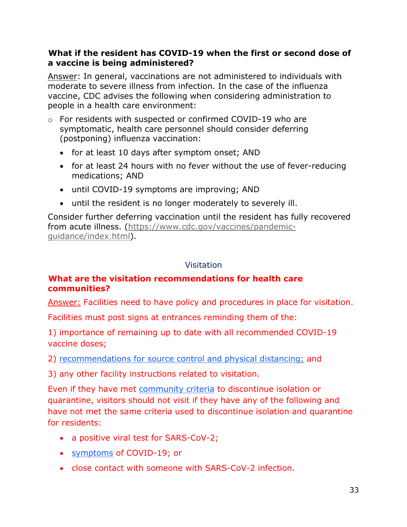### **What if the resident has COVID-19 when the first or second dose of a vaccine is being administered?**

Answer: In general, vaccinations are not administered to individuals with moderate to severe illness from infection. In the case of the influenza vaccine, CDC advises the following when considering administration to people in a health care environment:

- $\circ$  For residents with suspected or confirmed COVID-19 who are symptomatic, health care personnel should consider deferring (postponing) influenza vaccination:
	- for at least 10 days after symptom onset; AND
	- for at least 24 hours with no fever without the use of fever-reducing medications; AND
	- until COVID-19 symptoms are improving; AND
	- until the resident is no longer moderately to severely ill.

Consider further deferring vaccination until the resident has fully recovered from acute illness. [\(https://www.cdc.gov/vaccines/pandemic](https://www.cdc.gov/vaccines/pandemic-guidance/index.html)[guidance/index.html\)](https://www.cdc.gov/vaccines/pandemic-guidance/index.html).

#### Visitation

### **What are the visitation recommendations for health care communities?**

Answer: Facilities need to have policy and procedures in place for visitation.

Facilities must post signs at entrances reminding them of the:

1) importance of remaining up to date with all recommended COVID-19 vaccine doses;

2) [recommendations for source control and physical distancing;](https://www.cdc.gov/coronavirus/2019-ncov/hcp/infection-control-recommendations.html) and

3) any other facility instructions related to visitation.

Even if they have met [community criteria](https://www.cdc.gov/coronavirus/2019-ncov/your-health/quarantine-isolation.html) to discontinue isolation or quarantine, visitors should not visit if they have any of the following and have not met the same criteria used to discontinue isolation and quarantine for residents:

- a positive viral test for SARS-CoV-2;
- [symptoms](https://www.cdc.gov/coronavirus/2019-ncov/symptoms-testing/symptoms.html) of COVID-19; or
- close contact with someone with SARS-CoV-2 infection.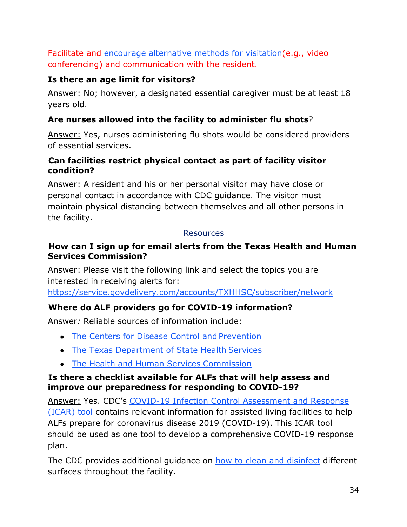Facilitate and [encourage alternative methods for visitation\(](https://www.cdc.gov/coronavirus/2019-ncov/downloads/supporting-loved-one-in-long-term-care-facility.pdf)e.g., video conferencing) and communication with the resident.

# **Is there an age limit for visitors?**

Answer: No; however, a designated essential caregiver must be at least 18 years old.

# **Are nurses allowed into the facility to administer flu shots**?

Answer: Yes, nurses administering flu shots would be considered providers of essential services.

## **Can facilities restrict physical contact as part of facility visitor condition?**

Answer: A resident and his or her personal visitor may have close or personal contact in accordance with CDC guidance. The visitor must maintain physical distancing between themselves and all other persons in the facility.

#### Resources

### <span id="page-33-0"></span>**How can I sign up for email alerts from the Texas Health and Human Services Commission?**

Answer: Please visit the following link and select the topics you are interested in receiving alerts for:

<https://service.govdelivery.com/accounts/TXHHSC/subscriber/network>

# **Where do ALF providers go for COVID-19 information?**

Answer*:* Reliable sources of information include:

- [The Centers for Disease Control and](https://www.cdc.gov/coronavirus/2019-ncov/healthcare-facilities/prevent-spread-in-long-term-care-facilities.html) Prevention
- [The Texas Department of State Health](https://www.dshs.state.tx.us/coronavirus/) Services
- [The Health and Human Services](https://hhs.texas.gov/doing-business-hhs/provider-portals/long-term-care-providers/nursing-facilities-nf) Commission

#### **Is there a checklist available for ALFs that will help assess and improve our preparedness for responding to COVID-19?**

Answer: Yes. CDC's [COVID-19 Infection Control Assessment and Response](https://www.cdc.gov/coronavirus/2019-ncov/downloads/hcp/assessment-tool-nursing-homes.pdf) [\(ICAR\) tool](https://www.cdc.gov/coronavirus/2019-ncov/downloads/hcp/assessment-tool-nursing-homes.pdf) contains relevant information for assisted living facilities to help ALFs prepare for coronavirus disease 2019 (COVID-19). This ICAR tool should be used as one tool to develop a comprehensive COVID-19 response plan.

The CDC provides additional guidance on [how to clean and disinfect](https://www.cdc.gov/coronavirus/2019-ncov/community/disinfecting-building-facility.html?CDC_AA_refVal=https%3A%2F%2Fwww.cdc.gov%2Fcoronavirus%2F2019-ncov%2Fprepare%2Fdisinfecting-building-facility.html) different surfaces throughout the facility.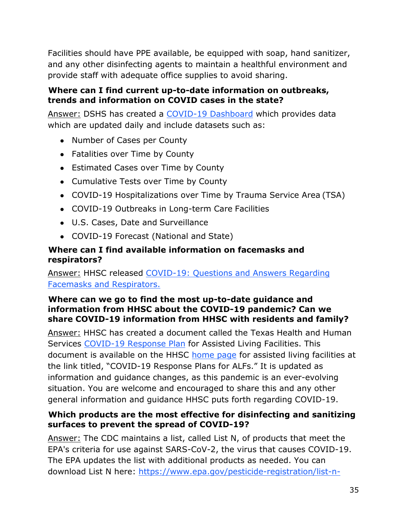Facilities should have PPE available, be equipped with soap, hand sanitizer, and any other disinfecting agents to maintain a healthful environment and provide staff with adequate office supplies to avoid sharing.

## **Where can I find current up-to-date information on outbreaks, trends and information on COVID cases in the state?**

Answer: DSHS has created a [COVID-19 Dashboard](https://texreg.sos.state.tx.us/public/readtac%24ext.TacPage?sl=T&app=9&p_dir=F&p_rloc=194901&p_tloc=29602&p_ploc=14911&pg=3&p_tac&ti=26&pt=1&ch=553&rl=41) which provides data which are updated daily and include datasets such as:

- Number of Cases per County
- Fatalities over Time by County
- Estimated Cases over Time by County
- Cumulative Tests over Time by County
- COVID-19 Hospitalizations over Time by Trauma Service Area (TSA)
- COVID-19 Outbreaks in Long-term Care Facilities
- U.S. Cases, Date and Surveillance
- COVID-19 Forecast (National and State)

## **Where can I find available information on facemasks and respirators?**

# Answer: HHSC released [COVID-19: Questions and Answers Regarding](https://hhs.texas.gov/sites/default/files/documents/services/health/coronavirus-covid-19/facemasks-respirators-qa.pdf) [Facemasks and Respirators.](https://hhs.texas.gov/sites/default/files/documents/services/health/coronavirus-covid-19/facemasks-respirators-qa.pdf)

### **Where can we go to find the most up-to-date guidance and information from HHSC about the COVID-19 pandemic? Can we share COVID-19 information from HHSC with residents and family?**

Answer: HHSC has created a document called the Texas Health and Human Services [COVID-19 Response Plan](https://hhs.texas.gov/sites/default/files/documents/doing-business-with-hhs/provider-portal/long-term-care/covid-response-plan-alf.pdf) for Assisted Living Facilities. This document is available on the HHSC [home page](https://hhs.texas.gov/doing-business-hhs/provider-portals/long-term-care-providers/assisted-living-facilities-alf) for assisted living facilities at the link titled, "COVID-19 Response Plans for ALFs." It is updated as information and guidance changes, as this pandemic is an ever-evolving situation. You are welcome and encouraged to share this and any other general information and guidance HHSC puts forth regarding COVID-19.

# **Which products are the most effective for disinfecting and sanitizing surfaces to prevent the spread of COVID-19?**

Answer: The CDC maintains a list, called List N, of products that meet the EPA's criteria for use against SARS-CoV-2, the virus that causes COVID-19. The EPA updates the list with additional products as needed. You can download List N here: [https://www.epa.gov/pesticide-registration/list-n-](https://www.epa.gov/pesticide-registration/list-n-disinfectants-use-against-sars-cov-2)